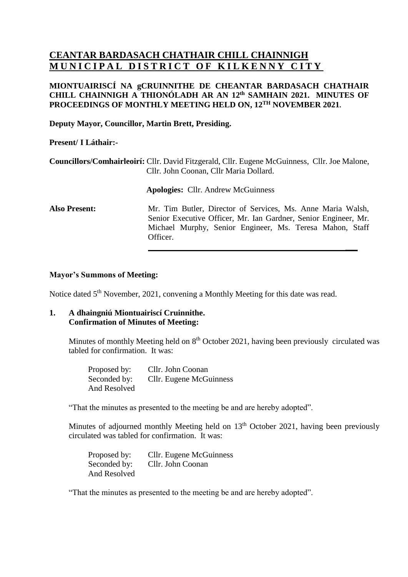# **CEANTAR BARDASACH CHATHAIR CHILL CHAINNIGH MUNICIPAL DISTRICT OF KILKENNY CITY**

### **MIONTUAIRISCÍ NA gCRUINNITHE DE CHEANTAR BARDASACH CHATHAIR CHILL CHAINNIGH A THIONÓLADH AR AN 12 th SAMHAIN 2021. MINUTES OF PROCEEDINGS OF MONTHLY MEETING HELD ON, 12 TH NOVEMBER 2021.**

**Deputy Mayor, Councillor, Martin Brett, Presiding.**

### **Present/ I Láthair:-**

**Councillors/Comhairleoirí:** Cllr. David Fitzgerald, Cllr. Eugene McGuinness, Cllr. Joe Malone, Cllr. John Coonan, Cllr Maria Dollard.

**Apologies:** Cllr. Andrew McGuinness

**Also Present:** Mr. Tim Butler, Director of Services, Ms. Anne Maria Walsh, Senior Executive Officer, Mr. Ian Gardner, Senior Engineer, Mr. Michael Murphy, Senior Engineer, Ms. Teresa Mahon, Staff Officer.

**\_\_\_**

### **Mayor's Summons of Meeting:**

Notice dated 5<sup>th</sup> November, 2021, convening a Monthly Meeting for this date was read.

### **1. A dhaingniú Miontuairiscí Cruinnithe. Confirmation of Minutes of Meeting:**

Minutes of monthly Meeting held on 8<sup>th</sup> October 2021, having been previously circulated was tabled for confirmation. It was:

Proposed by: Cllr. John Coonan Seconded by: Cllr. Eugene McGuinness And Resolved

"That the minutes as presented to the meeting be and are hereby adopted".

Minutes of adjourned monthly Meeting held on  $13<sup>th</sup>$  October 2021, having been previously circulated was tabled for confirmation. It was:

Proposed by: Cllr. Eugene McGuinness Seconded by: Cllr. John Coonan And Resolved

"That the minutes as presented to the meeting be and are hereby adopted".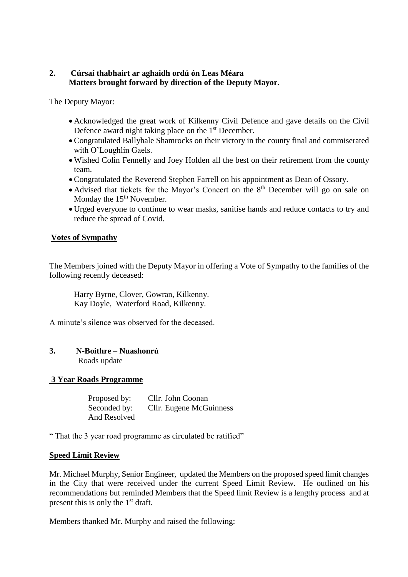### **2. Cúrsaí thabhairt ar aghaidh ordú ón Leas Méara Matters brought forward by direction of the Deputy Mayor.**

The Deputy Mayor:

- Acknowledged the great work of Kilkenny Civil Defence and gave details on the Civil Defence award night taking place on the  $1<sup>st</sup>$  December.
- Congratulated Ballyhale Shamrocks on their victory in the county final and commiserated with O'Loughlin Gaels.
- Wished Colin Fennelly and Joey Holden all the best on their retirement from the county team.
- Congratulated the Reverend Stephen Farrell on his appointment as Dean of Ossory.
- Advised that tickets for the Mayor's Concert on the 8<sup>th</sup> December will go on sale on Monday the  $15<sup>th</sup>$  November.
- Urged everyone to continue to wear masks, sanitise hands and reduce contacts to try and reduce the spread of Covid.

### **Votes of Sympathy**

The Members joined with the Deputy Mayor in offering a Vote of Sympathy to the families of the following recently deceased:

Harry Byrne, Clover, Gowran, Kilkenny. Kay Doyle, Waterford Road, Kilkenny.

A minute's silence was observed for the deceased.

#### **3. N-Boithre – Nuashonrú**  Roads update

#### **3 Year Roads Programme**

| Proposed by: | Cllr. John Coonan       |
|--------------|-------------------------|
| Seconded by: | Cllr. Eugene McGuinness |
| And Resolved |                         |

" That the 3 year road programme as circulated be ratified"

#### **Speed Limit Review**

Mr. Michael Murphy, Senior Engineer, updated the Members on the proposed speed limit changes in the City that were received under the current Speed Limit Review. He outlined on his recommendations but reminded Members that the Speed limit Review is a lengthy process and at present this is only the 1<sup>st</sup> draft.

Members thanked Mr. Murphy and raised the following: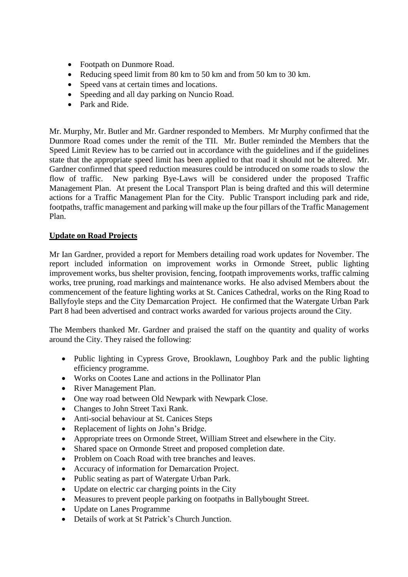- Footpath on Dunmore Road.
- Reducing speed limit from 80 km to 50 km and from 50 km to 30 km.
- Speed vans at certain times and locations.
- Speeding and all day parking on Nuncio Road.
- Park and Ride.

Mr. Murphy, Mr. Butler and Mr. Gardner responded to Members. Mr Murphy confirmed that the Dunmore Road comes under the remit of the TII. Mr. Butler reminded the Members that the Speed Limit Review has to be carried out in accordance with the guidelines and if the guidelines state that the appropriate speed limit has been applied to that road it should not be altered. Mr. Gardner confirmed that speed reduction measures could be introduced on some roads to slow the flow of traffic. New parking Bye-Laws will be considered under the proposed Traffic Management Plan. At present the Local Transport Plan is being drafted and this will determine actions for a Traffic Management Plan for the City. Public Transport including park and ride, footpaths, traffic management and parking will make up the four pillars of the Traffic Management Plan.

## **Update on Road Projects**

Mr Ian Gardner, provided a report for Members detailing road work updates for November. The report included information on improvement works in Ormonde Street, public lighting improvement works, bus shelter provision, fencing, footpath improvements works, traffic calming works, tree pruning, road markings and maintenance works. He also advised Members about the commencement of the feature lighting works at St. Canices Cathedral, works on the Ring Road to Ballyfoyle steps and the City Demarcation Project. He confirmed that the Watergate Urban Park Part 8 had been advertised and contract works awarded for various projects around the City.

The Members thanked Mr. Gardner and praised the staff on the quantity and quality of works around the City. They raised the following:

- Public lighting in Cypress Grove, Brooklawn, Loughboy Park and the public lighting efficiency programme.
- Works on Cootes Lane and actions in the Pollinator Plan
- River Management Plan.
- One way road between Old Newpark with Newpark Close.
- Changes to John Street Taxi Rank.
- Anti-social behaviour at St. Canices Steps
- Replacement of lights on John's Bridge.
- Appropriate trees on Ormonde Street, William Street and elsewhere in the City.
- Shared space on Ormonde Street and proposed completion date.
- Problem on Coach Road with tree branches and leaves.
- Accuracy of information for Demarcation Project.
- Public seating as part of Watergate Urban Park.
- Update on electric car charging points in the City
- Measures to prevent people parking on footpaths in Ballybought Street.
- Update on Lanes Programme
- Details of work at St Patrick's Church Junction.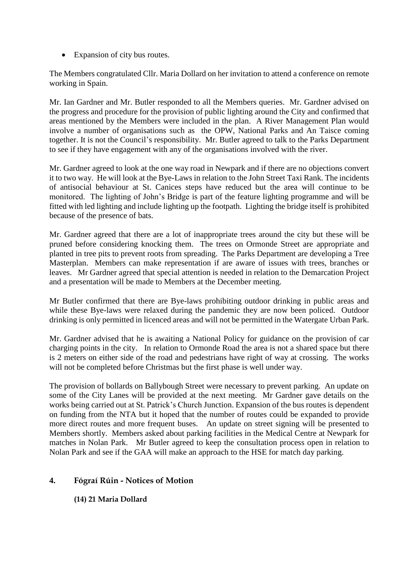• Expansion of city bus routes.

The Members congratulated Cllr. Maria Dollard on her invitation to attend a conference on remote working in Spain.

Mr. Ian Gardner and Mr. Butler responded to all the Members queries. Mr. Gardner advised on the progress and procedure for the provision of public lighting around the City and confirmed that areas mentioned by the Members were included in the plan. A River Management Plan would involve a number of organisations such as the OPW, National Parks and An Taisce coming together. It is not the Council's responsibility. Mr. Butler agreed to talk to the Parks Department to see if they have engagement with any of the organisations involved with the river.

Mr. Gardner agreed to look at the one way road in Newpark and if there are no objections convert it to two way. He will look at the Bye-Laws in relation to the John Street Taxi Rank. The incidents of antisocial behaviour at St. Canices steps have reduced but the area will continue to be monitored. The lighting of John's Bridge is part of the feature lighting programme and will be fitted with led lighting and include lighting up the footpath. Lighting the bridge itself is prohibited because of the presence of bats.

Mr. Gardner agreed that there are a lot of inappropriate trees around the city but these will be pruned before considering knocking them. The trees on Ormonde Street are appropriate and planted in tree pits to prevent roots from spreading. The Parks Department are developing a Tree Masterplan. Members can make representation if are aware of issues with trees, branches or leaves. Mr Gardner agreed that special attention is needed in relation to the Demarcation Project and a presentation will be made to Members at the December meeting.

Mr Butler confirmed that there are Bye-laws prohibiting outdoor drinking in public areas and while these Bye-laws were relaxed during the pandemic they are now been policed. Outdoor drinking is only permitted in licenced areas and will not be permitted in the Watergate Urban Park.

Mr. Gardner advised that he is awaiting a National Policy for guidance on the provision of car charging points in the city. In relation to Ormonde Road the area is not a shared space but there is 2 meters on either side of the road and pedestrians have right of way at crossing. The works will not be completed before Christmas but the first phase is well under way.

The provision of bollards on Ballybough Street were necessary to prevent parking. An update on some of the City Lanes will be provided at the next meeting. Mr Gardner gave details on the works being carried out at St. Patrick's Church Junction. Expansion of the bus routes is dependent on funding from the NTA but it hoped that the number of routes could be expanded to provide more direct routes and more frequent buses. An update on street signing will be presented to Members shortly. Members asked about parking facilities in the Medical Centre at Newpark for matches in Nolan Park. Mr Butler agreed to keep the consultation process open in relation to Nolan Park and see if the GAA will make an approach to the HSE for match day parking.

# **4. Fógraí Rúin - Notices of Motion**

**(14) 21 Maria Dollard**